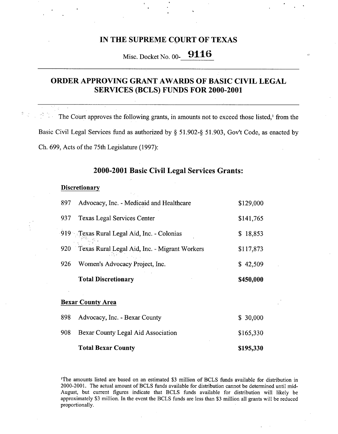## IN THE SUPREME COURT OF TEXAS

# Misc. Docket No. 00- 9116

# **ORDER** APPROVING GRANT AWARDS OF BASIC CIVIL LEGAL SERVICES (BCLS) FUNDS **FOR 2000-2001**

The Court approves the following grants, in amounts not to exceed those listed,' from the Basic Civil Legal Services fund as authorized by § 51.902-§ 51.903, Gov't Code, as enacted by Ch. 699, Acts of the 75th Legislature (1997):

## **2000-2001 Basic** Civil Legal **Services** Grants:

#### **Discretionary**

|     | <b>Total Discretionary</b>                    | \$450,000    |
|-----|-----------------------------------------------|--------------|
| 926 | Women's Advocacy Project, Inc.                | \$42,509     |
| 920 | Texas Rural Legal Aid, Inc. - Migrant Workers | \$117,873    |
|     | 919 Crexas Rural Legal Aid, Inc. - Colonias   | 18,853<br>S. |
| 937 | Texas Legal Services Center                   | \$141,765    |
| 897 | Advocacy, Inc. - Medicaid and Healthcare      | \$129,000    |

#### **Bexar County Area**

| <b>Total Bexar County</b>              | \$195,330 |
|----------------------------------------|-----------|
| 908 Bexar County Legal Aid Association | \$165,330 |
| 898 Advocacy, Inc. - Bexar County      | \$30,000  |

'The amounts listed are based on an estimated \$3 million of BCLS funds available for distribution in 2000-2001. The actual amount of BCLS funds available for distribution cannot be determined until mid-August, but current figures indicate that BCLS funds available for distribution will likely be approximately \$3 million. In the event the BCLS funds are less than \$3 million all grants will be reduced proportionally.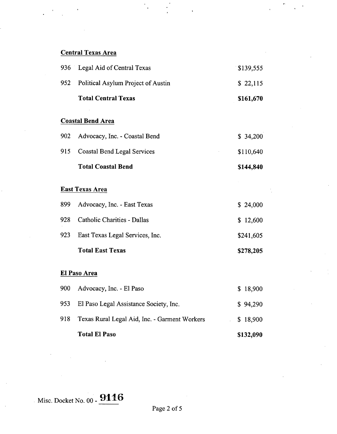# Central Texas Area

|     | 936 Legal Aid of Central Texas                | \$139,555 |
|-----|-----------------------------------------------|-----------|
| 952 | Political Asylum Project of Austin            | \$22,115  |
|     | <b>Total Central Texas</b>                    | \$161,670 |
|     | <b>Coastal Bend Area</b>                      |           |
| 902 | Advocacy, Inc. - Coastal Bend                 | \$34,200  |
| 915 | <b>Coastal Bend Legal Services</b>            | \$110,640 |
|     | <b>Total Coastal Bend</b>                     | \$144,840 |
|     | <b>East Texas Area</b>                        |           |
| 899 | Advocacy, Inc. - East Texas                   | \$24,000  |
| 928 | Catholic Charities - Dallas                   | \$12,600  |
| 923 | East Texas Legal Services, Inc.               | \$241,605 |
|     | <b>Total East Texas</b>                       | \$278,205 |
|     | El Paso Area                                  |           |
| 900 | Advocacy, Inc. - El Paso                      | \$18,900  |
| 953 | El Paso Legal Assistance Society, Inc.        | \$94,290  |
| 918 | Texas Rural Legal Aid, Inc. - Garment Workers | \$18,900  |

 $\frac{1}{2}$ 

**Total El Paso \$132,090** 

Misc. Docket No. 00 - **9116**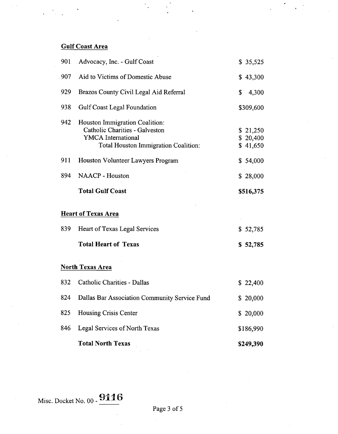# Gulf Coast Area

| 901  | Advocacy, Inc. - Gulf Coast                                                                                                                  | \$35,525                         |
|------|----------------------------------------------------------------------------------------------------------------------------------------------|----------------------------------|
| .907 | Aid to Victims of Domestic Abuse                                                                                                             | \$43,300                         |
| 929  | Brazos County Civil Legal Aid Referral                                                                                                       | \$<br>4,300                      |
| 938  | <b>Gulf Coast Legal Foundation</b>                                                                                                           | \$309,600                        |
| 942  | Houston Immigration Coalition:<br>Catholic Charities - Galveston<br><b>YMCA</b> International<br><b>Total Houston Immigration Coalition:</b> | \$21,250<br>\$20,400<br>\$41,650 |
| 911  | Houston Volunteer Lawyers Program                                                                                                            | \$54,000                         |
| 894  | <b>NAACP</b> - Houston                                                                                                                       | \$28,000                         |
|      | <b>Total Gulf Coast</b>                                                                                                                      | \$516,375                        |
|      | <b>Heart of Texas Area</b>                                                                                                                   |                                  |
| 839  | Heart of Texas Legal Services                                                                                                                | \$52,785                         |
|      | <b>Total Heart of Texas</b>                                                                                                                  | \$52,785                         |
|      | <b>North Texas Area</b>                                                                                                                      |                                  |
| 832  | Catholic Charities - Dallas                                                                                                                  | \$22,400                         |
| 824  | Dallas Bar Association Community Service Fund                                                                                                | \$20,000                         |
| 825  | Housing Crisis Center                                                                                                                        | \$ 20,000                        |
| 846  | Legal Services of North Texas                                                                                                                | \$186,990                        |
|      | <b>Total North Texas</b>                                                                                                                     | \$249,390                        |

# Misc. Docket No. 00 - 9116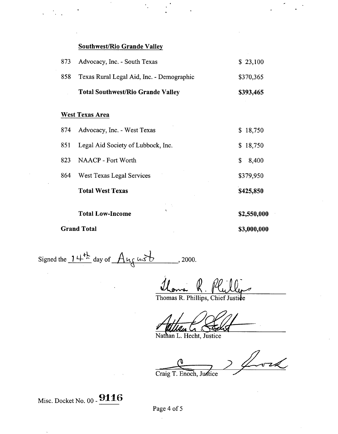## **Southwest/Rio Grande Valley**

| 873 | Advocacy, Inc. - South Texas              | \$23,100  |
|-----|-------------------------------------------|-----------|
| 858 | Texas Rural Legal Aid, Inc. - Demographic | \$370,365 |
|     | <b>Total Southwest/Rio Grande Valley</b>  | \$393,465 |
|     | <b>West Texas Area</b>                    |           |
| 874 | Advocacy, Inc. - West Texas               | \$18,750  |

| <b>Grand Total</b> |                                    | \$3,000,000 |
|--------------------|------------------------------------|-------------|
|                    | t,<br><b>Total Low-Income</b>      | \$2,550,000 |
|                    | <b>Total West Texas</b>            | \$425,850   |
| 864                | West Texas Legal Services          | \$379,950   |
| 823                | <b>NAACP</b> - Fort Worth          | 8,400<br>\$ |
| 851                | Legal Aid Society of Lubbock, Inc. | 18,750<br>S |

Signed the  $14^{\frac{1}{2}}$  day of  $A_{\frac{1}{2}}$   $\alpha s b$  . 2000.

R. Plilli Thomas s

Thomas R. Phillips, Chief Justice

Nathan L. Hecht, Justice

rL, Craig T. Enoch, Justice

Misc. Docket No. 00 - 9116

Page 4 of 5

 $\bar{z}$